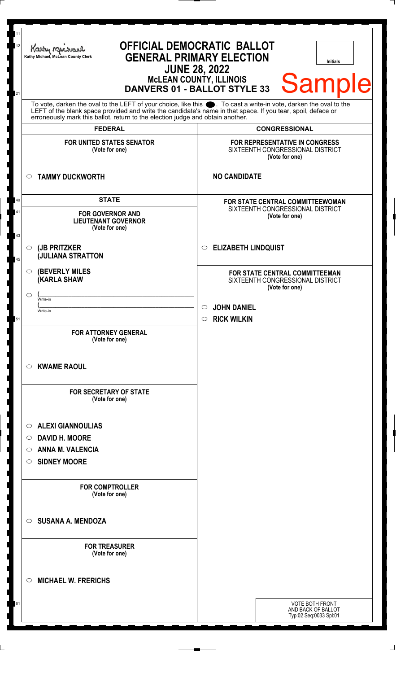| 11<br>12<br>21 | <b>OFFICIAL DEMOCRATIC BALLOT</b><br>Kathy My<br><b>GENERAL PRIMARY ELECTION</b><br>Kathy Michael, McLean County Clerk<br><b>Initials</b><br><b>JUNE 28, 2022</b><br>Sample<br>McLEAN COUNTY, ILLINOIS<br>DANVERS 01 - BALLOT STYLE 33                                                                                                                           |                                                                                                                       |
|----------------|------------------------------------------------------------------------------------------------------------------------------------------------------------------------------------------------------------------------------------------------------------------------------------------------------------------------------------------------------------------|-----------------------------------------------------------------------------------------------------------------------|
|                | To vote, darken the oval to the LEFT of your choice, like this $\bullet$ . To cast a write-in vote, darken the oval to the LEFT of the blank space provided and write the candidate's name in that space. If you tear, spoil, deface<br>erroneously mark this ballot, return to the election judge and obtain another.<br><b>FEDERAL</b><br><b>CONGRESSIONAL</b> |                                                                                                                       |
|                | <b>FOR UNITED STATES SENATOR</b><br>(Vote for one)                                                                                                                                                                                                                                                                                                               | <b>FOR REPRESENTATIVE IN CONGRESS</b><br>SIXTEENTH CONGRESSIONAL DISTRICT<br>(Vote for one)                           |
|                | <b>TAMMY DUCKWORTH</b><br>$\circ$                                                                                                                                                                                                                                                                                                                                | <b>NO CANDIDATE</b>                                                                                                   |
| 40<br>41<br>43 | <b>STATE</b><br><b>FOR GOVERNOR AND</b><br><b>LIEUTENANT GOVERNOR</b><br>(Vote for one)                                                                                                                                                                                                                                                                          | FOR STATE CENTRAL COMMITTEEWOMAN<br>SIXTEENTH CONGRESSIONAL DISTRICT<br>(Vote for one)                                |
| 45             | (JB PRITZKER<br>$\circ$<br><b>JULIANA STRATTON</b>                                                                                                                                                                                                                                                                                                               | <b>ELIZABETH LINDQUIST</b><br>O                                                                                       |
|                | <b>(BEVERLY MILES)</b><br>$\circ$<br><b>(KARLA SHAW</b><br>◯<br>Write-in<br>Write-in                                                                                                                                                                                                                                                                             | FOR STATE CENTRAL COMMITTEEMAN<br>SIXTEENTH CONGRESSIONAL DISTRICT<br>(Vote for one)<br><b>JOHN DANIEL</b><br>$\circ$ |
| 51             | <b>FOR ATTORNEY GENERAL</b><br>(Vote for one)                                                                                                                                                                                                                                                                                                                    | <b>RICK WILKIN</b><br>$\circ$                                                                                         |
|                | <b>KWAME RAOUL</b><br>$\circ$                                                                                                                                                                                                                                                                                                                                    |                                                                                                                       |
|                | <b>FOR SECRETARY OF STATE</b><br>(Vote for one)                                                                                                                                                                                                                                                                                                                  |                                                                                                                       |
|                | <b>ALEXI GIANNOULIAS</b><br>$\circ$<br><b>DAVID H. MOORE</b><br>$\circ$<br><b>ANNA M. VALENCIA</b><br>$\circ$<br><b>SIDNEY MOORE</b><br>$\circ$                                                                                                                                                                                                                  |                                                                                                                       |
|                | <b>FOR COMPTROLLER</b><br>(Vote for one)                                                                                                                                                                                                                                                                                                                         |                                                                                                                       |
|                | <b>SUSANA A. MENDOZA</b><br>$\bigcirc$                                                                                                                                                                                                                                                                                                                           |                                                                                                                       |
|                | <b>FOR TREASURER</b><br>(Vote for one)                                                                                                                                                                                                                                                                                                                           |                                                                                                                       |
|                | <b>MICHAEL W. FRERICHS</b><br>◯                                                                                                                                                                                                                                                                                                                                  |                                                                                                                       |
| 61             |                                                                                                                                                                                                                                                                                                                                                                  | <b>VOTE BOTH FRONT</b><br>AND BACK OF BALLOT<br>Typ:02 Seq:0033 Spl:01                                                |

 $\perp$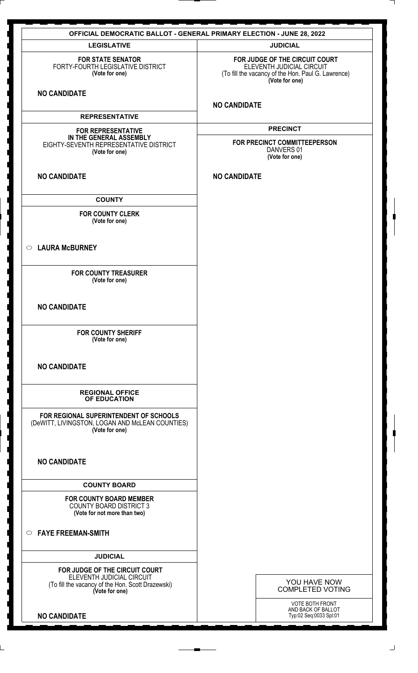| <b>OFFICIAL DEMOCRATIC BALLOT - GENERAL PRIMARY ELECTION - JUNE 28, 2022</b>                                                       |                                                                                                                                     |  |
|------------------------------------------------------------------------------------------------------------------------------------|-------------------------------------------------------------------------------------------------------------------------------------|--|
| <b>LEGISLATIVE</b>                                                                                                                 | <b>JUDICIAL</b>                                                                                                                     |  |
| <b>FOR STATE SENATOR</b><br>FORTY-FOURTH LEGISLATIVE DISTRICT<br>(Vote for one)<br><b>NO CANDIDATE</b>                             | FOR JUDGE OF THE CIRCUIT COURT<br>ELEVENTH JUDICIAL CIRCUIT<br>(To fill the vacancy of the Hon. Paul G. Lawrence)<br>(Vote for one) |  |
|                                                                                                                                    | <b>NO CANDIDATE</b>                                                                                                                 |  |
| <b>REPRESENTATIVE</b>                                                                                                              |                                                                                                                                     |  |
| <b>FOR REPRESENTATIVE</b><br>IN THE GENERAL ASSEMBLY<br>EIGHTY-SEVENTH REPRESENTATIVE DISTRICT<br>(Vote for one)                   | <b>PRECINCT</b><br>FOR PRECINCT COMMITTEEPERSON<br>DANVERS 01<br>(Vote for one)                                                     |  |
| <b>NO CANDIDATE</b>                                                                                                                | <b>NO CANDIDATE</b>                                                                                                                 |  |
| <b>COUNTY</b>                                                                                                                      |                                                                                                                                     |  |
| <b>FOR COUNTY CLERK</b><br>(Vote for one)                                                                                          |                                                                                                                                     |  |
| <b>LAURA McBURNEY</b><br>$\circ$                                                                                                   |                                                                                                                                     |  |
| <b>FOR COUNTY TREASURER</b><br>(Vote for one)                                                                                      |                                                                                                                                     |  |
| <b>NO CANDIDATE</b>                                                                                                                |                                                                                                                                     |  |
| <b>FOR COUNTY SHERIFF</b><br>(Vote for one)                                                                                        |                                                                                                                                     |  |
| <b>NO CANDIDATE</b>                                                                                                                |                                                                                                                                     |  |
| <b>REGIONAL OFFICE</b><br><b>OF EDUCATION</b>                                                                                      |                                                                                                                                     |  |
| FOR REGIONAL SUPERINTENDENT OF SCHOOLS<br>(DeWITT, LIVINGSTON, LOGAN AND McLEAN COUNTIES)<br>(Vote for one)                        |                                                                                                                                     |  |
| <b>NO CANDIDATE</b>                                                                                                                |                                                                                                                                     |  |
| <b>COUNTY BOARD</b>                                                                                                                |                                                                                                                                     |  |
| <b>FOR COUNTY BOARD MEMBER</b><br><b>COUNTY BOARD DISTRICT 3</b><br>(Vote for not more than two)                                   |                                                                                                                                     |  |
| <b>FAYE FREEMAN-SMITH</b><br>$\circ$                                                                                               |                                                                                                                                     |  |
| <b>JUDICIAL</b>                                                                                                                    |                                                                                                                                     |  |
| FOR JUDGE OF THE CIRCUIT COURT<br>ELEVENTH JUDICIAL CIRCUIT<br>(To fill the vacancy of the Hon. Scott Drazewski)<br>(Vote for one) | YOU HAVE NOW<br><b>COMPLETED VOTING</b>                                                                                             |  |
| <b>NO CANDIDATE</b>                                                                                                                | VOTE BOTH FRONT<br>AND BACK OF BALLOT<br>Typ:02 Seq:0033 Spl:01                                                                     |  |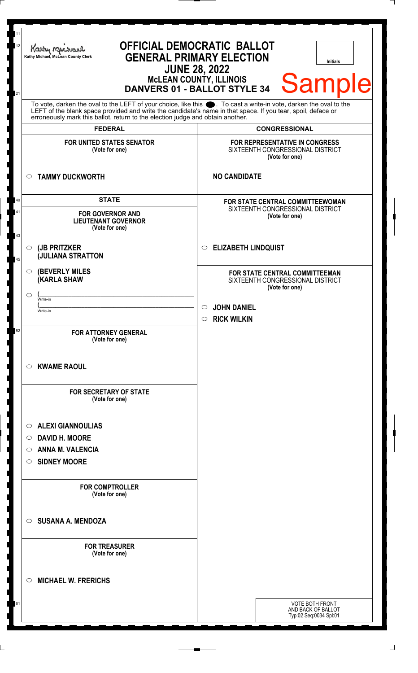| 11<br>12<br>21 | <b>OFFICIAL DEMOCRATIC BALLOT</b><br>Kathy M<br><b>GENERAL PRIMARY ELECTION</b><br>Kathy Michael, McLean County Clerk<br><b>Initials</b><br><b>JUNE 28, 2022</b><br>Sample<br>McLEAN COUNTY, ILLINOIS<br>DANVERS 01 - BALLOT STYLE 34                                                                                                                            |                                                                                                                                                        |
|----------------|------------------------------------------------------------------------------------------------------------------------------------------------------------------------------------------------------------------------------------------------------------------------------------------------------------------------------------------------------------------|--------------------------------------------------------------------------------------------------------------------------------------------------------|
|                | To vote, darken the oval to the LEFT of your choice, like this $\bullet$ . To cast a write-in vote, darken the oval to the LEFT of the blank space provided and write the candidate's name in that space. If you tear, spoil, deface<br>erroneously mark this ballot, return to the election judge and obtain another.<br><b>FEDERAL</b><br><b>CONGRESSIONAL</b> |                                                                                                                                                        |
|                | FOR UNITED STATES SENATOR<br>(Vote for one)                                                                                                                                                                                                                                                                                                                      | FOR REPRESENTATIVE IN CONGRESS<br>SIXTEENTH CONGRESSIONAL DISTRICT<br>(Vote for one)                                                                   |
|                | <b>TAMMY DUCKWORTH</b><br>$\circ$                                                                                                                                                                                                                                                                                                                                | <b>NO CANDIDATE</b>                                                                                                                                    |
| 40<br>41<br>43 | <b>STATE</b><br><b>FOR GOVERNOR AND</b><br><b>LIEUTENANT GOVERNOR</b><br>(Vote for one)                                                                                                                                                                                                                                                                          | FOR STATE CENTRAL COMMITTEEWOMAN<br>SIXTEENTH CONGRESSIONAL DISTRICT<br>(Vote for one)                                                                 |
| 45             | (JB PRITZKER<br>$\circ$<br><b>JULIANA STRATTON</b>                                                                                                                                                                                                                                                                                                               | <b>ELIZABETH LINDQUIST</b><br>$\circ$                                                                                                                  |
|                | <b>(BEVERLY MILES)</b><br>O<br><b>(KARLA SHAW</b><br>◯<br>Write-in<br>Write-in                                                                                                                                                                                                                                                                                   | FOR STATE CENTRAL COMMITTEEMAN<br>SIXTEENTH CONGRESSIONAL DISTRICT<br>(Vote for one)<br><b>JOHN DANIEL</b><br>$\circ$<br><b>RICK WILKIN</b><br>$\circ$ |
| 52             | <b>FOR ATTORNEY GENERAL</b><br>(Vote for one)<br><b>KWAME RAOUL</b><br>O                                                                                                                                                                                                                                                                                         |                                                                                                                                                        |
|                | <b>FOR SECRETARY OF STATE</b><br>(Vote for one)<br><b>ALEXI GIANNOULIAS</b><br>$\circ$<br><b>DAVID H. MOORE</b><br>O<br><b>ANNA M. VALENCIA</b><br>O<br><b>SIDNEY MOORE</b><br>O                                                                                                                                                                                 |                                                                                                                                                        |
|                | <b>FOR COMPTROLLER</b><br>(Vote for one)                                                                                                                                                                                                                                                                                                                         |                                                                                                                                                        |
|                | <b>SUSANA A. MENDOZA</b><br>◯                                                                                                                                                                                                                                                                                                                                    |                                                                                                                                                        |
|                | <b>FOR TREASURER</b><br>(Vote for one)                                                                                                                                                                                                                                                                                                                           |                                                                                                                                                        |
|                | <b>MICHAEL W. FRERICHS</b><br>◯                                                                                                                                                                                                                                                                                                                                  |                                                                                                                                                        |
| 61             |                                                                                                                                                                                                                                                                                                                                                                  | <b>VOTE BOTH FRONT</b><br>AND BACK OF BALLOT<br>Typ:02 Seq:0034 Spl:01                                                                                 |

 $\perp$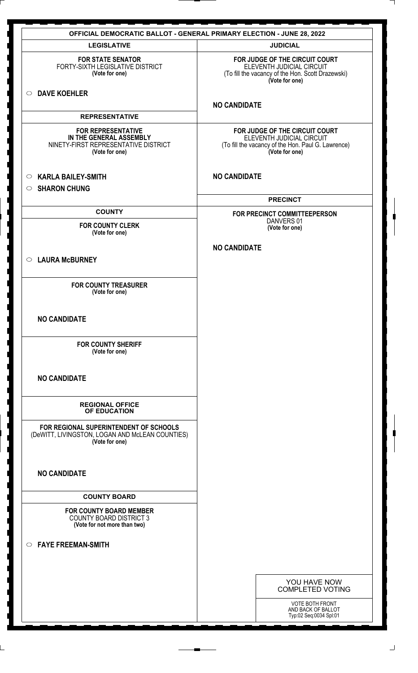| <b>OFFICIAL DEMOCRATIC BALLOT - GENERAL PRIMARY ELECTION - JUNE 28, 2022</b>                                   |                                                                                                                                     |
|----------------------------------------------------------------------------------------------------------------|-------------------------------------------------------------------------------------------------------------------------------------|
| <b>LEGISLATIVE</b>                                                                                             | <b>JUDICIAL</b>                                                                                                                     |
| <b>FOR STATE SENATOR</b><br>FORTY-SIXTH LEGISLATIVE DISTRICT<br>(Vote for one)                                 | FOR JUDGE OF THE CIRCUIT COURT<br>ELEVENTH JUDICIAL CIRCUIT<br>(To fill the vacancy of the Hon. Scott Drazewski)<br>(Vote for one)  |
| <b>DAVE KOEHLER</b><br>$\circ$                                                                                 | <b>NO CANDIDATE</b>                                                                                                                 |
| <b>REPRESENTATIVE</b>                                                                                          |                                                                                                                                     |
| <b>FOR REPRESENTATIVE</b><br>IN THE GENERAL ASSEMBLY<br>NINETY-FIRST REPRESENTATIVE DISTRICT<br>(Vote for one) | FOR JUDGE OF THE CIRCUIT COURT<br>ELEVENTH JUDICIAL CIRCUIT<br>(To fill the vacancy of the Hon. Paul G. Lawrence)<br>(Vote for one) |
| <b>KARLA BAILEY-SMITH</b><br>$\circ$<br><b>SHARON CHUNG</b><br>$\circ$                                         | <b>NO CANDIDATE</b>                                                                                                                 |
|                                                                                                                | <b>PRECINCT</b>                                                                                                                     |
| <b>COUNTY</b>                                                                                                  | FOR PRECINCT COMMITTEEPERSON                                                                                                        |
| <b>FOR COUNTY CLERK</b><br>(Vote for one)                                                                      | DANVERS 01<br>(Vote for one)                                                                                                        |
|                                                                                                                | <b>NO CANDIDATE</b>                                                                                                                 |
| <b>LAURA McBURNEY</b><br>$\circ$                                                                               |                                                                                                                                     |
| <b>FOR COUNTY TREASURER</b><br>(Vote for one)                                                                  |                                                                                                                                     |
| <b>NO CANDIDATE</b>                                                                                            |                                                                                                                                     |
| <b>FOR COUNTY SHERIFF</b><br>(Vote for one)                                                                    |                                                                                                                                     |
| <b>NO CANDIDATE</b>                                                                                            |                                                                                                                                     |
| <b>REGIONAL OFFICE</b><br>OF EDUCATION                                                                         |                                                                                                                                     |
| FOR REGIONAL SUPERINTENDENT OF SCHOOLS<br>(DeWITT, LIVINGSTON, LOGAN AND McLEAN COUNTIES)<br>(Vote for one)    |                                                                                                                                     |
| <b>NO CANDIDATE</b>                                                                                            |                                                                                                                                     |
| <b>COUNTY BOARD</b>                                                                                            |                                                                                                                                     |
| <b>FOR COUNTY BOARD MEMBER</b><br><b>COUNTY BOARD DISTRICT 3</b><br>(Vote for not more than two)               |                                                                                                                                     |
| <b>FAYE FREEMAN-SMITH</b><br>$\circ$                                                                           |                                                                                                                                     |
|                                                                                                                |                                                                                                                                     |
|                                                                                                                | YOU HAVE NOW<br><b>COMPLETED VOTING</b>                                                                                             |
|                                                                                                                | VOTE BOTH FRONT                                                                                                                     |
|                                                                                                                | AND BACK OF BALLOT<br>Typ:02 Seq:0034 Spl:01                                                                                        |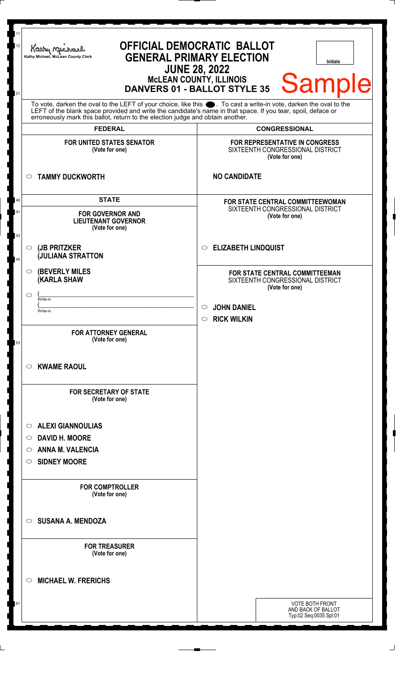| 11<br>12       | Kathy M<br>Kathy Michael, McLean County Clerk                                                                                                                                                                                                                               | <b>OFFICIAL DEMOCRATIC BALLOT</b><br><b>GENERAL PRIMARY ELECTION</b><br><b>Initials</b><br><b>JUNE 28, 2022</b><br><b>MCLEAN COUNTY, ILLINOIS</b><br><b>Sample</b> |  |
|----------------|-----------------------------------------------------------------------------------------------------------------------------------------------------------------------------------------------------------------------------------------------------------------------------|--------------------------------------------------------------------------------------------------------------------------------------------------------------------|--|
| 21             | <b>DANVERS 01 - BALLOT STYLE 35</b><br>To vote, darken the oval to the LEFT of your choice, like this $\bullet$ . To cast a write-in vote, darken the oval to the LEFT of the blank space provided and write the candidate's name in that space. If you tear, spoil, deface |                                                                                                                                                                    |  |
|                | erroneously mark this ballot, return to the election judge and obtain another.<br><b>FEDERAL</b>                                                                                                                                                                            | <b>CONGRESSIONAL</b>                                                                                                                                               |  |
|                | <b>FOR UNITED STATES SENATOR</b><br>(Vote for one)                                                                                                                                                                                                                          | FOR REPRESENTATIVE IN CONGRESS<br>SIXTEENTH CONGRESSIONAL DISTRICT<br>(Vote for one)                                                                               |  |
|                | <b>TAMMY DUCKWORTH</b><br>$\circ$                                                                                                                                                                                                                                           | <b>NO CANDIDATE</b>                                                                                                                                                |  |
| 40<br>41<br>43 | <b>STATE</b><br><b>FOR GOVERNOR AND</b><br><b>LIEUTENANT GOVERNOR</b><br>(Vote for one)                                                                                                                                                                                     | <b>FOR STATE CENTRAL COMMITTEEWOMAN</b><br>SIXTEENTH CONGRESSIONAL DISTRICT<br>(Vote for one)                                                                      |  |
| 45             | (JB PRITZKER<br>$\circ$<br><b>JULIANA STRATTON</b>                                                                                                                                                                                                                          | <b>ELIZABETH LINDQUIST</b><br>O                                                                                                                                    |  |
|                | <b>(BEVERLY MILES)</b><br>O<br><b>(KARLA SHAW</b><br>◯<br>Write-in                                                                                                                                                                                                          | FOR STATE CENTRAL COMMITTEEMAN<br>SIXTEENTH CONGRESSIONAL DISTRICT<br>(Vote for one)                                                                               |  |
|                | Write-in                                                                                                                                                                                                                                                                    | <b>JOHN DANIEL</b><br>$\circ$<br><b>RICK WILKIN</b><br>$\circ$                                                                                                     |  |
| 53             | <b>FOR ATTORNEY GENERAL</b><br>(Vote for one)                                                                                                                                                                                                                               |                                                                                                                                                                    |  |
|                | <b>KWAME RAOUL</b><br>O                                                                                                                                                                                                                                                     |                                                                                                                                                                    |  |
|                | <b>FOR SECRETARY OF STATE</b><br>(Vote for one)                                                                                                                                                                                                                             |                                                                                                                                                                    |  |
|                | <b>ALEXI GIANNOULIAS</b><br>O<br><b>DAVID H. MOORE</b><br>$\circ$<br><b>ANNA M. VALENCIA</b><br>◯<br><b>SIDNEY MOORE</b><br>O                                                                                                                                               |                                                                                                                                                                    |  |
|                | <b>FOR COMPTROLLER</b><br>(Vote for one)                                                                                                                                                                                                                                    |                                                                                                                                                                    |  |
|                | <b>SUSANA A. MENDOZA</b><br>◯                                                                                                                                                                                                                                               |                                                                                                                                                                    |  |
|                | <b>FOR TREASURER</b><br>(Vote for one)                                                                                                                                                                                                                                      |                                                                                                                                                                    |  |
|                | <b>MICHAEL W. FRERICHS</b><br>O                                                                                                                                                                                                                                             |                                                                                                                                                                    |  |
| υ              |                                                                                                                                                                                                                                                                             | VOTE BOTH FRONT<br>AND BACK OF BALLOT<br>Typ:02 Seq:0035 Spl:01                                                                                                    |  |
|                |                                                                                                                                                                                                                                                                             |                                                                                                                                                                    |  |

 $\perp$